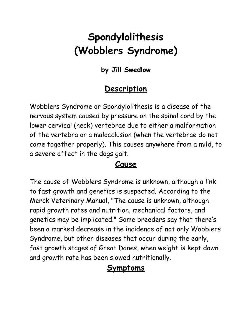# **Spondylolithesis (Wobblers Syndrome)**

**by Jill Swedlow**

#### **Description**

Wobblers Syndrome or Spondylolithesis is a disease of the nervous system caused by pressure on the spinal cord by the lower cervical (neck) vertebrae due to either a malformation of the vertebra or a malocclusion (when the vertebrae do not come together properly). This causes anywhere from a mild, to a severe affect in the dogs gait.

#### **Cause**

The cause of Wobblers Syndrome is unknown, although a link to fast growth and genetics is suspected. According to the Merck Veterinary Manual, "The cause is unknown, although rapid growth rates and nutrition, mechanical factors, and genetics may be implicated." Some breeders say that there's been a marked decrease in the incidence of not only Wobblers Syndrome, but other diseases that occur during the early, fast growth stages of Great Danes, when weight is kept down and growth rate has been slowed nutritionally.

## **Symptoms**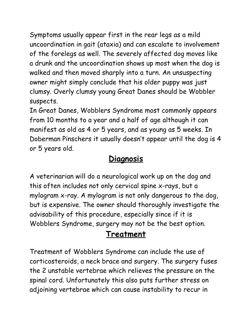Symptoms usually appear first in the rear legs as a mild uncoordination in gait (ataxia) and can escalate to involvement of the forelegs as well. The severely affected dog moves like a drunk and the uncoordination shows up most when the dog is walked and then moved sharply into a turn. An unsuspecting owner might simply conclude that his older puppy was just clumsy. Overly clumsy young Great Danes should be Wobbler suspects.

In Great Danes, Wobblers Syndrome most commonly appears from 10 months to a year and a half of age although it can manifest as old as 4 or 5 years, and as young as 5 weeks. In Doberman Pinschers it usually doesn't appear until the dog is 4 or 5 years old.

#### **Diagnosis**

A veterinarian will do a neurological work up on the dog and this often includes not only cervical spine x-rays, but a mylogram x-ray. A mylogram is not only dangerous to the dog, but is expensive. The owner should thoroughly investigate the advisability of this procedure, especially since if it is Wobblers Syndrome, surgery may not be the best option.

## **Treatment**

Treatment of Wobblers Syndrome can include the use of corticosteroids, a neck brace and surgery. The surgery fuses the 2 unstable vertebrae which relieves the pressure on the spinal cord. Unfortunately this also puts further stress on adjoining vertebrae which can cause instability to recur in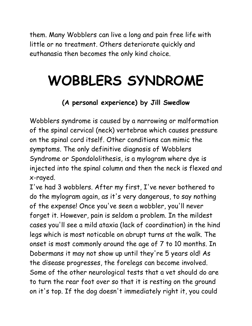them. Many Wobblers can live a long and pain free life with little or no treatment. Others deteriorate quickly and euthanasia then becomes the only kind choice.

# **WOBBLERS SYNDROME**

#### **(A personal experience) by Jill Swedlow**

Wobblers syndrome is caused by a narrowing or malformation of the spinal cervical (neck) vertebrae which causes pressure on the spinal cord itself. Other conditions can mimic the symptoms. The only definitive diagnosis of Wobblers Syndrome or Spondololithesis, is a mylogram where dye is injected into the spinal column and then the neck is flexed and x-rayed.

I've had 3 wobblers. After my first, I've never bothered to do the mylogram again, as it's very dangerous, to say nothing of the expense! Once you've seen a wobbler, you'll never forget it. However, pain is seldom a problem. In the mildest cases you'll see a mild ataxia (lack of coordination) in the hind legs which is most noticable on abrupt turns at the walk. The onset is most commonly around the age of 7 to 10 months. In Dobermans it may not show up until they're 5 years old! As the disease progresses, the forelegs can become involved. Some of the other neurological tests that a vet should do are to turn the rear foot over so that it is resting on the ground on it's top. If the dog doesn't immediately right it, you could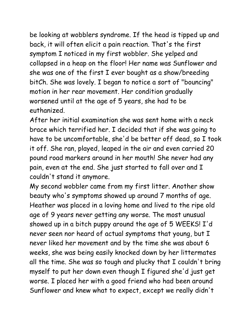be looking at wobblers syndrome. If the head is tipped up and back, it will often elicit a pain reaction. That's the first symptom I noticed in my first wobbler. She yelped and collapsed in a heap on the floor! Her name was Sunflower and she was one of the first I ever bought as a show/breeding bitCh. She was lovely. I began to notice a sort of "bouncing" motion in her rear movement. Her condition gradually worsened until at the age of 5 years, she had to be euthanized.

After her initial examination she was sent home with a neck brace which terrified her. I decided that if she was going to have to be uncomfortable, she'd be better off dead, so I took it off. She ran, played, leaped in the air and even carried 20 pound road markers around in her mouth! She never had any pain, even at the end. She just started to fall over and I couldn't stand it anymore.

My second wobbler came from my first litter. Another show beauty who's symptoms showed up around 7 months of age. Heather was placed in a loving home and lived to the ripe old age of 9 years never getting any worse. The most unusual showed up in a bitch puppy around the age of 5 WEEKS! I'd never seen nor heard of actual symptoms that young, but I never liked her movement and by the time she was about 6 weeks, she was being easily knocked down by her littermates all the time. She was so tough and plucky that I couldn't bring myself to put her down even though I figured she'd just get worse. I placed her with a good friend who had been around Sunflower and knew what to expect, except we really didn't